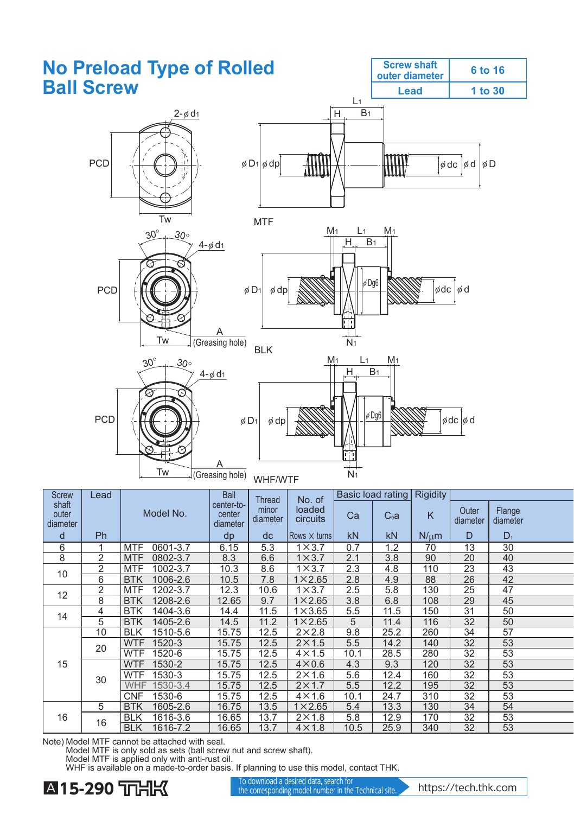

| <b>Screw</b>               | Lead           |                        | <b>Ball</b>                      | Thread            | No. of              | Basic load rating |                  | <b>Rigidity</b> |                   |                    |  |
|----------------------------|----------------|------------------------|----------------------------------|-------------------|---------------------|-------------------|------------------|-----------------|-------------------|--------------------|--|
| shaft<br>outer<br>diameter |                | Model No.              | center-to-<br>center<br>diameter | minor<br>diameter | loaded<br>circuits  | Ca                | C <sub>0</sub> a | K               | Outer<br>diameter | Flange<br>diameter |  |
| d                          | <b>Ph</b>      |                        | dp                               | dc                | Rows $\times$ turns | kN                | kN.              | $N/\mu$ m       | D                 | $D_1$              |  |
| 6                          |                | 0601-3.7<br><b>MTF</b> | 6.15                             | 5.3               | $1 \times 3.7$      | 0.7               | 1.2              | 70              | 13                | 30                 |  |
| 8                          | $\overline{2}$ | <b>MTF</b><br>0802-3.7 | 8.3                              | 6.6               | $1 \times 3.7$      | 2.1               | 3.8              | 90              | 20                | 40                 |  |
| 10                         | $\overline{2}$ | <b>MTF</b><br>1002-3.7 | 10.3                             | 8.6               | $1\times3.7$        | 2.3               | 4.8              | 110             | $\overline{23}$   | 43                 |  |
|                            | 6              | 1006-2.6<br><b>BTK</b> | 10.5                             | 7.8               | $1\times 2.65$      | 2.8               | 4.9              | 88              | 26                | 42                 |  |
| 12                         | $\overline{2}$ | 1202-3.7<br><b>MTF</b> | 12.3                             | 10.6              | $1 \times 3.7$      | 2.5               | 5.8              | 130             | 25                | 47                 |  |
|                            | 8              | 1208-2.6<br><b>BTK</b> | 12.65                            | 9.7               | $1 \times 2.65$     | 3.8               | 6.8              | 108             | 29                | 45                 |  |
| 14                         | 4              | <b>BTK</b><br>1404-3.6 | 14.4                             | 11.5              | $1 \times 3.65$     | 5.5               | 11.5             | 150             | $\overline{31}$   | 50                 |  |
|                            | $\overline{5}$ | 1405-2.6<br><b>BTK</b> | 14.5                             | 11.2              | $1 \times 2.65$     | 5                 | 11.4             | 116             | 32                | 50                 |  |
|                            | 10             | 1510-5.6<br><b>BLK</b> | 15.75                            | 12.5              | $2\times2.8$        | 9.8               | 25.2             | 260             | 34                | 57                 |  |
|                            | 20             | 1520-3<br><b>WTF</b>   | 15.75                            | 12.5              | $2\times1.5$        | 5.5               | 14.2             | 140             | 32                | 53                 |  |
|                            |                | 1520-6<br><b>WTF</b>   | 15.75                            | 12.5              | $4\times1.5$        | 10.1              | 28.5             | 280             | 32                | 53                 |  |
| 15                         |                | 1530-2<br><b>WTF</b>   | 15.75                            | 12.5              | $4 \times 0.6$      | 4.3               | 9.3              | 120             | 32                | 53                 |  |
|                            | 30             | 1530-3<br><b>WTF</b>   | 15.75                            | 12.5              | $2\times1.6$        | 5.6               | 12.4             | 160             | $\overline{32}$   | 53                 |  |
|                            |                | <b>WHF</b><br>1530-3.4 | 15.75                            | 12.5              | $2\times1.7$        | 5.5               | 12.2             | 195             | 32                | 53                 |  |
|                            |                | 1530-6<br><b>CNF</b>   | 15.75                            | 12.5              | $4 \times 1.6$      | 10.1              | 24.7             | 310             | 32                | 53                 |  |
|                            | 5              | 1605-2.6<br><b>BTK</b> | 16.75                            | 13.5              | $1\times 2.65$      | 5.4               | 13.3             | 130             | 34                | 54                 |  |
| 16                         | 16             | <b>BLK</b><br>1616-3.6 | 16.65                            | 13.7              | $2\times1.8$        | 5.8               | 12.9             | 170             | 32                | 53                 |  |
|                            |                | 1616-7.2<br><b>BLK</b> | 16.65                            | 13.7              | $4\times1.8$        | 10.5              | 25.9             | 340             | 32                | 53                 |  |

Note) Model MTF cannot be attached with seal. Model MTF is only sold as sets (ball screw nut and screw shaft).

Model MTF is applied only with anti-rust oil. WHF is available on a made-to-order basis. If planning to use this model, contact THK.



To download a desired data, search for<br>the corresponding model number in the Technical site. https://tech.thk.com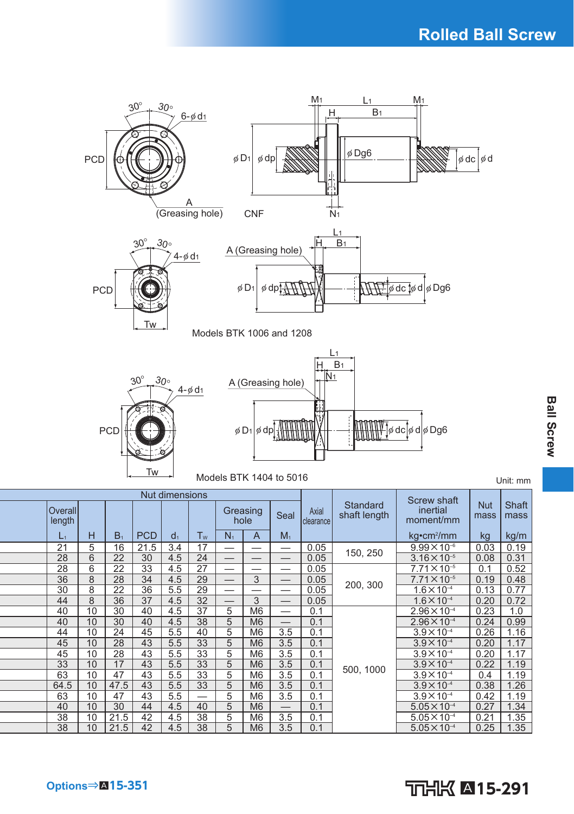

63 10 47 43 5.5 33 5 M6 3.5 0.1 3.9×10 –4 0.4 1.19

63 10 47 43 5.5 — 5 M6 3.5 0.1 3.9×10 –4 0.42 1.19 40 10 30 44 4.5 40 5 M6 — 0.1 5.05×10 –4 0.27 1.34  $38$  | 10 | 21.5 | 42 | 4.5 | 38 | 5 | M6 | 3.5 | 0.1 | 5.05 $\times$ 10<sup>-4</sup> | 0.21 | 1.35  $38$  | 10 | 21.5 | 42 | 4.5 | 38 | 5 | M6 | 3.5 | 0.1 | 5.05 $\times$ 10<sup>-4</sup> | 0.25 | 1.35

 $64.5$  | 10 | 47.5 | 43 | 5.5 | 33 | 5 | M6 | 3.5 | 0.1 | 3.9×10<sup>-4</sup>

#### A**15-291**

 $\begin{array}{|c|c|c|c|}\n \hline\n 0.38 & 1.26 \\
\hline\n 0.42 & 1.19\n \end{array}$ 

#### **Options**⇒A**15-351**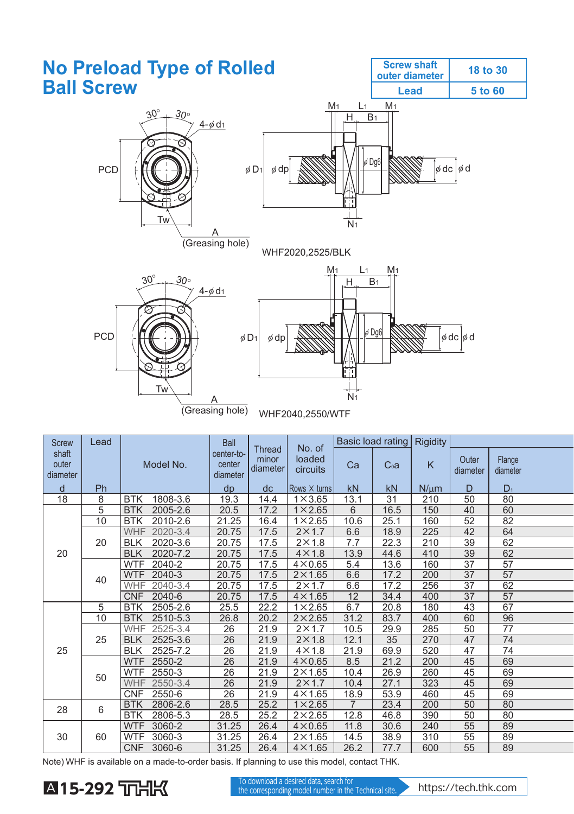

| <b>OUI EW</b>              | Lcau |                        | Ddll                             | <b>Thread</b>     | No. of              | Pavid idding p |                  | ingiany   |                   |                    |
|----------------------------|------|------------------------|----------------------------------|-------------------|---------------------|----------------|------------------|-----------|-------------------|--------------------|
| shaft<br>outer<br>diameter |      | Model No.              | center-to-<br>center<br>diameter | minor<br>diameter | loaded<br>circuits  | Ca             | C <sub>0</sub> a | K         | Outer<br>diameter | Flange<br>diameter |
| d                          | Ph   |                        | dp                               | dc                | Rows $\times$ turns | kN             | kN               | $N/\mu$ m | D                 | $D_1$              |
| 18                         | 8    | 1808-3.6<br><b>BTK</b> | 19.3                             | 14.4              | $1 \times 3.65$     | 13.1           | 31               | 210       | 50                | 80                 |
|                            | 5    | <b>BTK</b><br>2005-2.6 | 20.5                             | 17.2              | $1 \times 2.65$     | $6\phantom{1}$ | 16.5             | 150       | 40                | 60                 |
|                            | 10   | <b>BTK</b><br>2010-2.6 | 21.25                            | 16.4              | $1 \times 2.65$     | 10.6           | 25.1             | 160       | 52                | 82                 |
|                            |      | <b>WHF</b><br>2020-3.4 | 20.75                            | 17.5              | $2\times1.7$        | 6.6            | 18.9             | 225       | 42                | 64                 |
|                            | 20   | <b>BLK</b><br>2020-3.6 | 20.75                            | 17.5              | $2 \times 1.8$      | 7.7            | 22.3             | 210       | 39                | 62                 |
| 20                         |      | <b>BLK</b><br>2020-7.2 | 20.75                            | 17.5              | $4 \times 1.8$      | 13.9           | 44.6             | 410       | 39                | 62                 |
|                            | 40   | <b>WTF</b><br>2040-2   | 20.75                            | 17.5              | $4 \times 0.65$     | 5.4            | 13.6             | 160       | 37                | 57                 |
|                            |      | <b>WTF</b><br>2040-3   | 20.75                            | 17.5              | $2\times1.65$       | 6.6            | 17.2             | 200       | 37                | 57                 |
|                            |      | 2040-3.4<br><b>WHF</b> | 20.75                            | 17.5              | $2\times1.7$        | 6.6            | 17.2             | 256       | 37                | 62                 |
|                            |      | CNF<br>2040-6          | 20.75                            | 17.5              | $4 \times 1.65$     | 12             | 34.4             | 400       | 37                | 57                 |
|                            | 5    | <b>BTK</b><br>2505-2.6 | 25.5                             | 22.2              | $1 \times 2.65$     | 6.7            | 20.8             | 180       | 43                | 67                 |
|                            | 10   | <b>BTK</b><br>2510-5.3 | 26.8                             | 20.2              | $2\times2.65$       | 31.2           | 83.7             | 400       | 60                | 96                 |
|                            |      | <b>WHF</b><br>2525-3.4 | 26                               | 21.9              | $2\times1.7$        | 10.5           | 29.9             | 285       | 50                | 77                 |
|                            | 25   | 2525-3.6<br><b>BLK</b> | 26                               | 21.9              | $2 \times 1.8$      | 12.1           | 35               | 270       | 47                | 74                 |
| 25                         |      | 2525-7.2<br><b>BLK</b> | 26                               | 21.9              | $4\times1.8$        | 21.9           | 69.9             | 520       | 47                | 74                 |
|                            |      | <b>WTF</b><br>2550-2   | 26                               | 21.9              | $4\times0.65$       | 8.5            | 21.2             | 200       | 45                | 69                 |
|                            | 50   | 2550-3<br><b>WTF</b>   | 26                               | 21.9              | $2\times1.65$       | 10.4           | 26.9             | 260       | 45                | 69                 |
|                            |      | <b>WHF</b><br>2550-3.4 | 26                               | 21.9              | $2\times1.7$        | 10.4           | 27.1             | 323       | 45                | 69                 |
|                            |      | <b>CNF</b><br>2550-6   | 26                               | 21.9              | $4 \times 1.65$     | 18.9           | 53.9             | 460       | 45                | 69                 |
| 28                         | 6    | 2806-2.6<br><b>BTK</b> | 28.5                             | 25.2              | $1\times 2.65$      | $\overline{7}$ | 23.4             | 200       | 50                | 80                 |
|                            |      | 2806-5.3<br><b>BTK</b> | 28.5                             | 25.2              | $2\times2.65$       | 12.8           | 46.8             | 390       | 50                | 80                 |
|                            |      | 3060-2<br><b>WTF</b>   | 31.25                            | 26.4              | $4 \times 0.65$     | 11.8           | 30.6             | 240       | 55                | 89                 |
| 30                         | 60   | <b>WTF</b><br>3060-3   | 31.25                            | 26.4              | $2\times1.65$       | 14.5           | 38.9             | 310       | 55                | 89                 |
|                            |      | <b>CNF</b><br>3060-6   | 31.25                            | 26.4              | $4\times1.65$       | 26.2           | 77.7             | 600       | 55                | 89                 |

Note) WHF is available on a made-to-order basis. If planning to use this model, contact THK.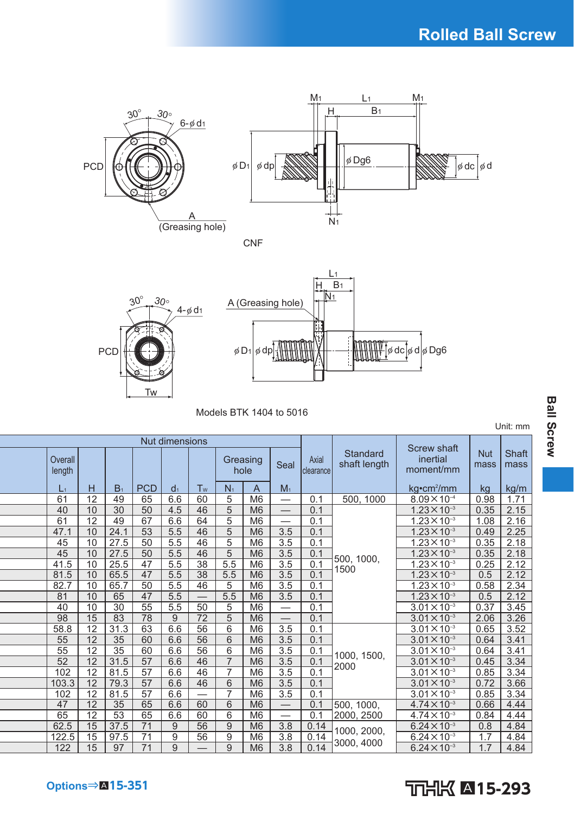



Models BTK 1404 to 5016

|  | Unit: mm |
|--|----------|
|  |          |

|                   |    |                |                 | <b>Nut dimensions</b> |                 |                |                  |                          |                    |                          | <b>Screw shaft</b>                  |                    |               |
|-------------------|----|----------------|-----------------|-----------------------|-----------------|----------------|------------------|--------------------------|--------------------|--------------------------|-------------------------------------|--------------------|---------------|
| Overall<br>length |    |                |                 |                       |                 |                | Greasing<br>hole | Seal                     | Axial<br>clearance | Standard<br>shaft length | inertial<br>moment/mm               | <b>Nut</b><br>mass | Shaft<br>mass |
| $L_1$             | H  | B <sub>1</sub> | <b>PCD</b>      | $d_1$                 | Tw              | $N_1$          | A                | $M_1$                    |                    |                          | kg <sup>o</sup> cm <sup>2</sup> /mm | kg                 | kg/m          |
| 61                | 12 | 49             | 65              | 6.6                   | 60              | 5              | M <sub>6</sub>   | —                        | 0.1                | 500, 1000                | $8.09 \times 10^{-4}$               | 0.98               | 1.71          |
| 40                | 10 | 30             | 50              | 4.5                   | 46              | 5              | M <sub>6</sub>   |                          | 0.1                |                          | $1.23 \times 10^{-3}$               | 0.35               | 2.15          |
| 61                | 12 | 49             | 67              | 6.6                   | 64              | 5              | M <sub>6</sub>   | $\overline{\phantom{0}}$ | 0.1                |                          | $1.23 \times 10^{-3}$               | 1.08               | 2.16          |
| 47.1              | 10 | 24.1           | 53              | 5.5                   | 46              | $\overline{5}$ | M <sub>6</sub>   | 3.5                      | 0.1                |                          | $1.23 \times 10^{-3}$               | 0.49               | 2.25          |
| 45                | 10 | 27.5           | 50              | 5.5                   | 46              | 5              | M <sub>6</sub>   | 3.5                      | 0.1                |                          | $1.23 \times 10^{-3}$               | 0.35               | 2.18          |
| 45                | 10 | 27.5           | 50              | 5.5                   | 46              | $\overline{5}$ | M <sub>6</sub>   | 3.5                      | 0.1                | 500, 1000,               | $1.23 \times 10^{-3}$               | 0.35               | 2.18          |
| 41.5              | 10 | 25.5           | 47              | 5.5                   | 38              | 5.5            | M <sub>6</sub>   | 3.5                      | 0.1                | 1500                     | $1.23 \times 10^{-3}$               | 0.25               | 2.12          |
| 81.5              | 10 | 65.5           | 47              | 5.5                   | 38              | 5.5            | M <sub>6</sub>   | 3.5                      | 0.1                |                          | $1.23 \times 10^{-3}$               | 0.5                | 2.12          |
| 82.7              | 10 | 65.7           | 50              | 5.5                   | 46              | 5              | M <sub>6</sub>   | 3.5                      | 0.1                |                          | $1.23 \times 10^{-3}$               | 0.58               | 2.34          |
| 81                | 10 | 65             | 47              | 5.5                   |                 | 5.5            | M <sub>6</sub>   | 3.5                      | 0.1                |                          | $1.23 \times 10^{-3}$               | 0.5                | 2.12          |
| 40                | 10 | 30             | 55              | 5.5                   | 50              | 5              | M <sub>6</sub>   |                          | 0.1                |                          | $3.01 \times 10^{-3}$               | 0.37               | 3.45          |
| 98                | 15 | 83             | 78              | $\overline{9}$        | $\overline{72}$ | $\overline{5}$ | M <sub>6</sub>   | $\overline{\phantom{0}}$ | 0.1                |                          | $3.01 \times 10^{-3}$               | 2.06               | 3.26          |
| 58.8              | 12 | 31.3           | 63              | 6.6                   | 56              | 6              | M <sub>6</sub>   | 3.5                      | 0.1                |                          | $3.01 \times 10^{-3}$               | 0.65               | 3.52          |
| 55                | 12 | 35             | 60              | 6.6                   | 56              | 6              | M <sub>6</sub>   | 3.5                      | 0.1                |                          | $3.01 \times 10^{-3}$               | 0.64               | 3.41          |
| 55                | 12 | 35             | 60              | 6.6                   | 56              | 6              | M <sub>6</sub>   | 3.5                      | 0.1                | 1000, 1500,              | $3.01 \times 10^{-3}$               | 0.64               | 3.41          |
| 52                | 12 | 31.5           | 57              | 6.6                   | 46              | $\overline{7}$ | M <sub>6</sub>   | 3.5                      | 0.1                | 2000                     | $3.01 \times 10^{-3}$               | 0.45               | 3.34          |
| 102               | 12 | 81.5           | 57              | 6.6                   | 46              | $\overline{7}$ | M <sub>6</sub>   | 3.5                      | 0.1                |                          | $3.01 \times 10^{-3}$               | 0.85               | 3.34          |
| 103.3             | 12 | 79.3           | 57              | 6.6                   | 46              | 6              | M <sub>6</sub>   | 3.5                      | 0.1                |                          | $3.01 \times 10^{-3}$               | 0.72               | 3.66          |
| 102               | 12 | 81.5           | 57              | 6.6                   |                 | 7              | M <sub>6</sub>   | 3.5                      | 0.1                |                          | $3.01 \times 10^{-3}$               | 0.85               | 3.34          |
| 47                | 12 | 35             | 65              | 6.6                   | 60              | 6              | M <sub>6</sub>   |                          | 0.1                | 500, 1000,               | $4.74 \times 10^{-3}$               | 0.66               | 4.44          |
| 65                | 12 | 53             | 65              | 6.6                   | 60              | 6              | M <sub>6</sub>   |                          | 0.1                | 2000, 2500               | $4.74 \times 10^{-3}$               | 0.84               | 4.44          |
| 62.5              | 15 | 37.5           | $\overline{71}$ | 9                     | 56              | 9              | M <sub>6</sub>   | 3.8                      | 0.14               | 1000, 2000,              | $6.24 \times 10^{-3}$               | 0.8                | 4.84          |
| 122.5             | 15 | 97.5           | 71              | 9                     | 56              | 9              | M <sub>6</sub>   | 3.8                      | 0.14               | 3000, 4000               | $6.24 \times 10^{-3}$               | 1.7                | 4.84          |
| 122               | 15 | 97             | 71              | 9                     |                 | 9              | M <sub>6</sub>   | 3.8                      | 0.14               |                          | $6.24 \times 10^{-3}$               | 1.7                | 4.84          |

# **Ball Screw Ball Screw**

#### **Options**⇒A**15-351**

## A**15-293**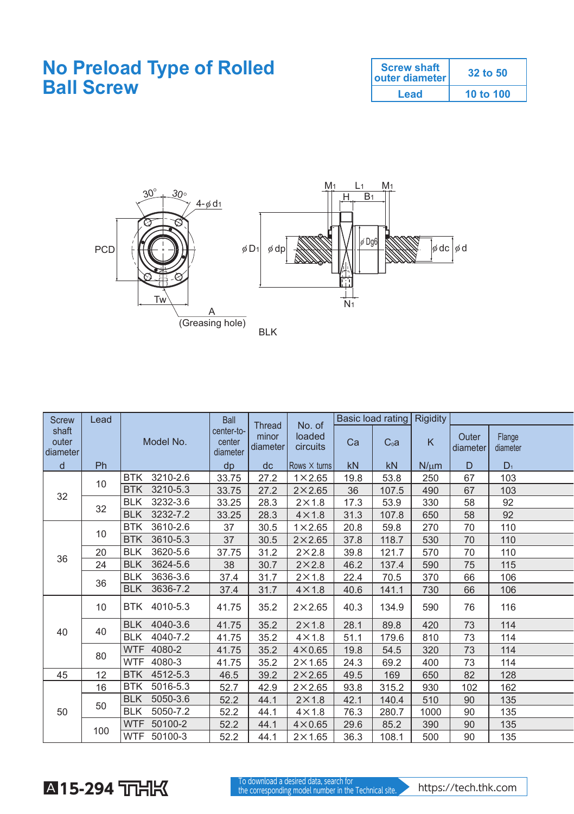## **No Preload Type of Rolled Ball Screw**

| <b>Screw shaft</b><br>outer diameter | 32 to 50  |
|--------------------------------------|-----------|
| Lead                                 | 10 to 100 |



| <b>Screw</b>               | Lead |                        | <b>Ball</b>                      | <b>Thread</b>     | No. of              | Basic load rating |                  | <b>Rigidity</b> |                   |                    |
|----------------------------|------|------------------------|----------------------------------|-------------------|---------------------|-------------------|------------------|-----------------|-------------------|--------------------|
| shaft<br>outer<br>diameter |      | Model No.              | center-to-<br>center<br>diameter | minor<br>diameter | loaded<br>circuits  | Ca                | C <sub>0</sub> a | K               | Outer<br>diameter | Flange<br>diameter |
| d                          | Ph   |                        | dp                               | dc                | Rows $\times$ turns | kN                | kN               | $N/\mu m$       | D                 | $D_1$              |
|                            | 10   | 3210-2.6<br><b>BTK</b> | 33.75                            | 27.2              | $1 \times 2.65$     | 19.8              | 53.8             | 250             | 67                | 103                |
| 32                         |      | 3210-5.3<br><b>BTK</b> | 33.75                            | 27.2              | $2\times 2.65$      | 36                | 107.5            | 490             | 67                | 103                |
|                            | 32   | <b>BLK</b><br>3232-3.6 | 33.25                            | 28.3              | $2 \times 1.8$      | 17.3              | 53.9             | 330             | 58                | 92                 |
|                            |      | <b>BLK</b><br>3232-7.2 | 33.25                            | 28.3              | $4 \times 1.8$      | 31.3              | 107.8            | 650             | 58                | 92                 |
|                            | 10   | <b>BTK</b><br>3610-2.6 | 37                               | 30.5              | $1 \times 2.65$     | 20.8              | 59.8             | 270             | 70                | 110                |
|                            |      | <b>BTK</b><br>3610-5.3 | 37                               | 30.5              | $2\times 2.65$      | 37.8              | 118.7            | 530             | 70                | 110                |
| 36                         | 20   | 3620-5.6<br><b>BLK</b> | 37.75                            | 31.2              | $2\times2.8$        | 39.8              | 121.7            | 570             | 70                | 110                |
|                            | 24   | 3624-5.6<br><b>BLK</b> | 38                               | 30.7              | $2\times2.8$        | 46.2              | 137.4            | 590             | 75                | 115                |
|                            | 36   | <b>BLK</b><br>3636-3.6 | 37.4                             | 31.7              | $2 \times 1.8$      | 22.4              | 70.5             | 370             | 66                | 106                |
|                            |      | 3636-7.2<br><b>BLK</b> | 37.4                             | 31.7              | $4 \times 1.8$      | 40.6              | 141.1            | 730             | 66                | 106                |
|                            | 10   | <b>BTK</b><br>4010-5.3 | 41.75                            | 35.2              | $2\times2.65$       | 40.3              | 134.9            | 590             | 76                | 116                |
|                            |      | <b>BLK</b><br>4040-3.6 | 41.75                            | 35.2              | $2 \times 1.8$      | 28.1              | 89.8             | 420             | 73                | 114                |
| 40                         | 40   | 4040-7.2<br><b>BLK</b> | 41.75                            | 35.2              | $4 \times 1.8$      | 51.1              | 179.6            | 810             | 73                | 114                |
|                            |      | <b>WTF</b><br>4080-2   | 41.75                            | 35.2              | $4\times0.65$       | 19.8              | 54.5             | 320             | 73                | 114                |
|                            | 80   | 4080-3<br><b>WTF</b>   | 41.75                            | 35.2              | $2\times1.65$       | 24.3              | 69.2             | 400             | 73                | 114                |
| 45                         | 12   | <b>BTK</b><br>4512-5.3 | 46.5                             | 39.2              | $2\times 2.65$      | 49.5              | 169              | 650             | 82                | 128                |
|                            | 16   | <b>BTK</b><br>5016-5.3 | 52.7                             | 42.9              | $2 \times 2.65$     | 93.8              | 315.2            | 930             | 102               | 162                |
|                            | 50   | 5050-3.6<br><b>BLK</b> | 52.2                             | 44.1              | $2\times1.8$        | 42.1              | 140.4            | 510             | 90                | 135                |
| 50                         |      | 5050-7.2<br><b>BLK</b> | 52.2                             | 44.1              | $4 \times 1.8$      | 76.3              | 280.7            | 1000            | 90                | 135                |
|                            | 100  | 50100-2<br><b>WTF</b>  | 52.2                             | 44.1              | $4 \times 0.65$     | 29.6              | 85.2             | 390             | 90                | 135                |
|                            |      | 50100-3<br><b>WTF</b>  | 52.2                             | 44.1              | $2\times1.65$       | 36.3              | 108.1            | 500             | 90                | 135                |

**A15-294 TOHK**